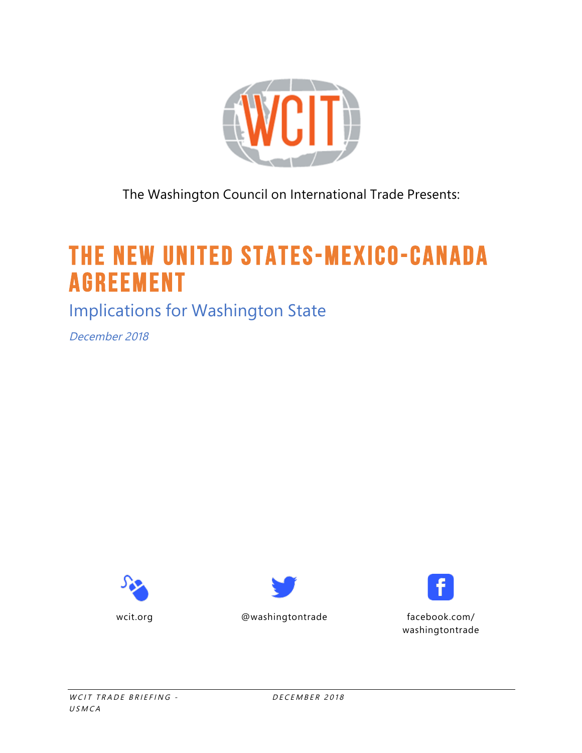

The Washington Council on International Trade Presents:

# **The New United States-Mexico-Canada Agreement**

# Implications for Washington State

December 2018







wcit.org **@washingtontrade** facebook.com/ washingtontrade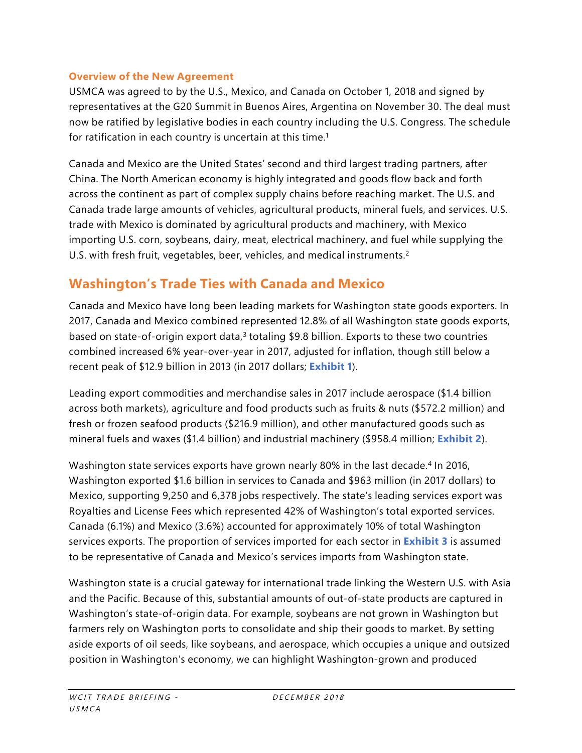#### **Overview of the New Agreement**

USMCA was agreed to by the U.S., Mexico, and Canada on October 1, 2018 and signed by representatives at the G20 Summit in Buenos Aires, Argentina on November 30. The deal must now be ratified by legislative bodies in each country including the U.S. Congress. The schedule for ratification in each country is uncertain at this time.<sup>1</sup>

Canada and Mexico are the United States' second and third largest trading partners, after China. The North American economy is highly integrated and goods flow back and forth across the continent as part of complex supply chains before reaching market. The U.S. and Canada trade large amounts of vehicles, agricultural products, mineral fuels, and services. U.S. trade with Mexico is dominated by agricultural products and machinery, with Mexico importing U.S. corn, soybeans, dairy, meat, electrical machinery, and fuel while supplying the U.S. with fresh fruit, vegetables, beer, vehicles, and medical instruments. 2

# **Washington's Trade Ties with Canada and Mexico**

Canada and Mexico have long been leading markets for Washington state goods exporters. In 2017, Canada and Mexico combined represented 12.8% of all Washington state goods exports, based on state-of-origin export data,<sup>3</sup> totaling \$9.8 billion. Exports to these two countries combined increased 6% year-over-year in 2017, adjusted for inflation, though still below a recent peak of \$12.9 billion in 2013 (in 2017 dollars; **Exhibit 1**).

Leading export commodities and merchandise sales in 2017 include aerospace (\$1.4 billion across both markets), agriculture and food products such as fruits & nuts (\$572.2 million) and fresh or frozen seafood products (\$216.9 million), and other manufactured goods such as mineral fuels and waxes (\$1.4 billion) and industrial machinery (\$958.4 million; **Exhibit 2**).

Washington state services exports have grown nearly 80% in the last decade.<sup>4</sup> In 2016, Washington exported \$1.6 billion in services to Canada and \$963 million (in 2017 dollars) to Mexico, supporting 9,250 and 6,378 jobs respectively. The state's leading services export was Royalties and License Fees which represented 42% of Washington's total exported services. Canada (6.1%) and Mexico (3.6%) accounted for approximately 10% of total Washington services exports. The proportion of services imported for each sector in **Exhibit 3** is assumed to be representative of Canada and Mexico's services imports from Washington state.

Washington state is a crucial gateway for international trade linking the Western U.S. with Asia and the Pacific. Because of this, substantial amounts of out-of-state products are captured in Washington's state-of-origin data. For example, soybeans are not grown in Washington but farmers rely on Washington ports to consolidate and ship their goods to market. By setting aside exports of oil seeds, like soybeans, and aerospace, which occupies a unique and outsized position in Washington's economy, we can highlight Washington-grown and produced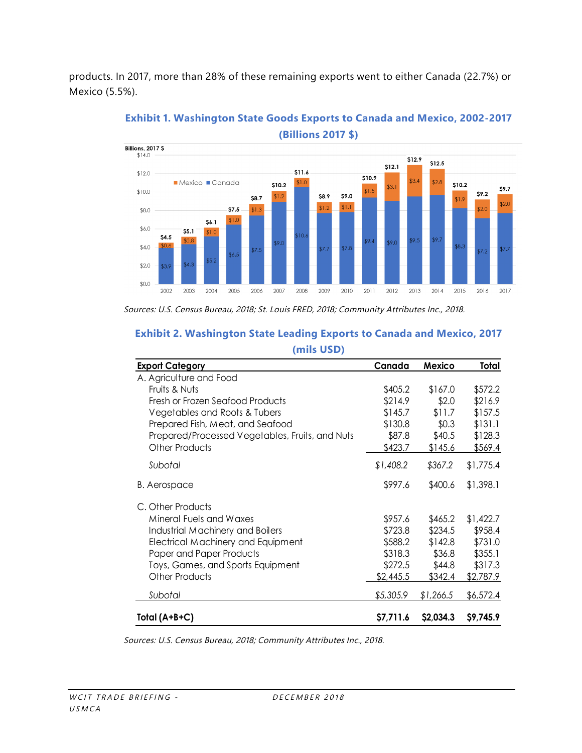products. In 2017, more than 28% of these remaining exports went to either Canada (22.7%) or Mexico (5.5%).



**Exhibit 1. Washington State Goods Exports to Canada and Mexico, 2002-2017 (Billions 2017 \$)**

Sources: U.S. Census Bureau, 2018; St. Louis FRED, 2018; Community Attributes Inc., 2018.

#### **Exhibit 2. Washington State Leading Exports to Canada and Mexico, 2017 (mils USD)**

| <b>Export Category</b>                          | Canada    | Mexico    | Total     |
|-------------------------------------------------|-----------|-----------|-----------|
| A. Agriculture and Food                         |           |           |           |
| Fruits & Nuts                                   | \$405.2   | \$167.0   | \$572.2   |
| Fresh or Frozen Seafood Products                | \$214.9   | \$2.0     | \$216.9   |
| Vegetables and Roots & Tubers                   | \$145.7   | \$11.7    | \$157.5   |
| Prepared Fish, Meat, and Seafood                | \$130.8   | \$0.3     | \$131.1   |
| Prepared/Processed Vegetables, Fruits, and Nuts | \$87.8    | \$40.5    | \$128.3   |
| Other Products                                  | \$423.7   | \$145.6   | \$569.4   |
| Subotal                                         | \$1,408.2 | \$367.2   | \$1,775.4 |
| <b>B.</b> Aerospace                             | \$997.6   | \$400.6   | \$1,398.1 |
| C. Other Products                               |           |           |           |
| Mineral Fuels and Waxes                         | \$957.6   | \$465.2   | \$1,422.7 |
| Industrial Machinery and Boilers                | \$723.8   | \$234.5   | \$958.4   |
| <b>Electrical Machinery and Equipment</b>       | \$588.2   | \$142.8   | \$731.0   |
| Paper and Paper Products                        | \$318.3   | \$36.8    | \$355.1   |
| Toys, Games, and Sports Equipment               | \$272.5   | \$44.8    | \$317.3   |
| Other Products                                  | \$2,445.5 | \$342.4   | \$2,787.9 |
| Subotal                                         | \$5,305.9 | \$1,266.5 | \$6,572.4 |
| Total $(A+B+C)$                                 | \$7,711.6 | \$2,034.3 | S9.745.9  |

Sources: U.S. Census Bureau, 2018; Community Attributes Inc., 2018.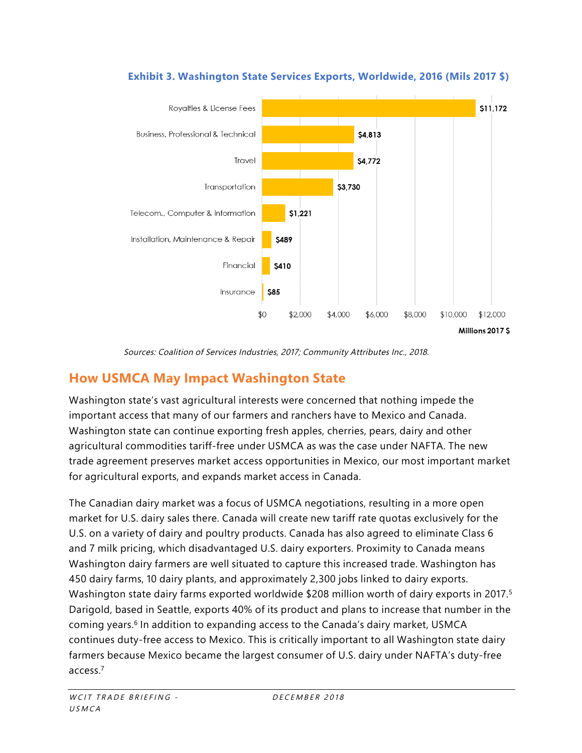

**Exhibit 3. Washington State Services Exports, Worldwide, 2016 (Mils 2017 \$)**

Sources: Coalition of Services Industries, 2017; Community Attributes Inc., 2018.

## **How USMCA May Impact Washington State**

Washington state's vast agricultural interests were concerned that nothing impede the important access that many of our farmers and ranchers have to Mexico and Canada. Washington state can continue exporting fresh apples, cherries, pears, dairy and other agricultural commodities tariff-free under USMCA as was the case under NAFTA. The new trade agreement preserves market access opportunities in Mexico, our most important market for agricultural exports, and expands market access in Canada.

The Canadian dairy market was a focus of USMCA negotiations, resulting in a more open market for U.S. dairy sales there. Canada will create new tariff rate quotas exclusively for the U.S. on a variety of dairy and poultry products. Canada has also agreed to eliminate Class 6 and 7 milk pricing, which disadvantaged U.S. dairy exporters. Proximity to Canada means Washington dairy farmers are well situated to capture this increased trade. Washington has 450 dairy farms, 10 dairy plants, and approximately 2,300 jobs linked to dairy exports. Washington state dairy farms exported worldwide \$208 million worth of dairy exports in 2017.<sup>5</sup> Darigold, based in Seattle, exports 40% of its product and plans to increase that number in the coming years.6 In addition to expanding access to the Canada's dairy market, USMCA continues duty-free access to Mexico. This is critically important to all Washington state dairy farmers because Mexico became the largest consumer of U.S. dairy under NAFTA's duty-free access.7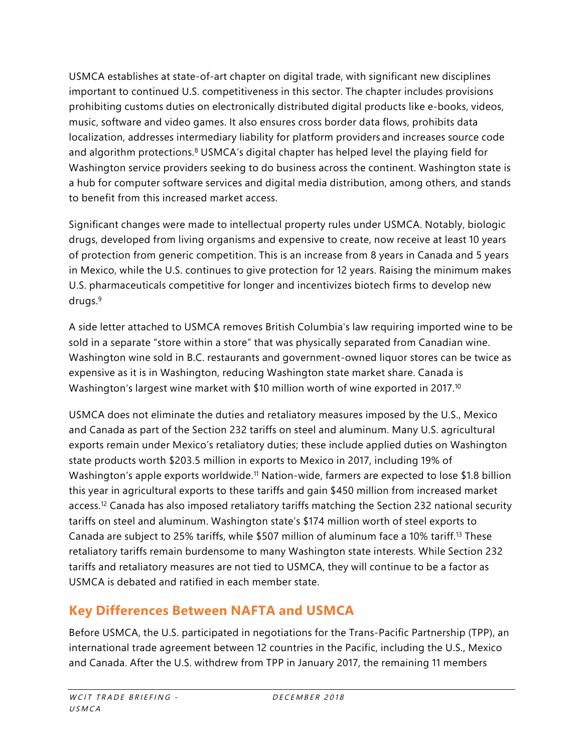USMCA establishes at state-of-art chapter on digital trade, with significant new disciplines important to continued U.S. competitiveness in this sector. The chapter includes provisions prohibiting customs duties on electronically distributed digital products like e-books, videos, music, software and video games. It also ensures cross border data flows, prohibits data localization, addresses intermediary liability for platform providers and increases source code and algorithm protections. <sup>8</sup> USMCA's digital chapter has helped level the playing field for Washington service providers seeking to do business across the continent. Washington state is a hub for computer software services and digital media distribution, among others, and stands to benefit from this increased market access.

Significant changes were made to intellectual property rules under USMCA. Notably, biologic drugs, developed from living organisms and expensive to create, now receive at least 10 years of protection from generic competition. This is an increase from 8 years in Canada and 5 years in Mexico, while the U.S. continues to give protection for 12 years. Raising the minimum makes U.S. pharmaceuticals competitive for longer and incentivizes biotech firms to develop new drugs.9

A side letter attached to USMCA removes British Columbia's law requiring imported wine to be sold in a separate "store within a store" that was physically separated from Canadian wine. Washington wine sold in B.C. restaurants and government-owned liquor stores can be twice as expensive as it is in Washington, reducing Washington state market share. Canada is Washington's largest wine market with \$10 million worth of wine exported in 2017.<sup>10</sup>

USMCA does not eliminate the duties and retaliatory measures imposed by the U.S., Mexico and Canada as part of the Section 232 tariffs on steel and aluminum. Many U.S. agricultural exports remain under Mexico's retaliatory duties; these include applied duties on Washington state products worth \$203.5 million in exports to Mexico in 2017, including 19% of Washington's apple exports worldwide.<sup>11</sup> Nation-wide, farmers are expected to lose \$1.8 billion this year in agricultural exports to these tariffs and gain \$450 million from increased market access.12 Canada has also imposed retaliatory tariffs matching the Section 232 national security tariffs on steel and aluminum. Washington state's \$174 million worth of steel exports to Canada are subject to 25% tariffs, while \$507 million of aluminum face a 10% tariff.13 These retaliatory tariffs remain burdensome to many Washington state interests. While Section 232 tariffs and retaliatory measures are not tied to USMCA, they will continue to be a factor as USMCA is debated and ratified in each member state.

# **Key Differences Between NAFTA and USMCA**

Before USMCA, the U.S. participated in negotiations for the Trans-Pacific Partnership (TPP), an international trade agreement between 12 countries in the Pacific, including the U.S., Mexico and Canada. After the U.S. withdrew from TPP in January 2017, the remaining 11 members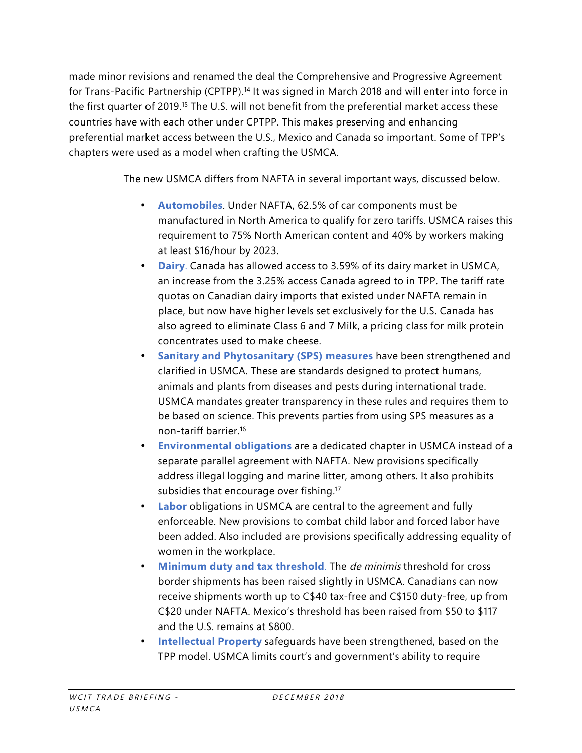made minor revisions and renamed the deal the Comprehensive and Progressive Agreement for Trans-Pacific Partnership (CPTPP).<sup>14</sup> It was signed in March 2018 and will enter into force in the first quarter of 2019.15 The U.S. will not benefit from the preferential market access these countries have with each other under CPTPP. This makes preserving and enhancing preferential market access between the U.S., Mexico and Canada so important. Some of TPP's chapters were used as a model when crafting the USMCA.

The new USMCA differs from NAFTA in several important ways, discussed below.

- **Automobiles**. Under NAFTA, 62.5% of car components must be manufactured in North America to qualify for zero tariffs. USMCA raises this requirement to 75% North American content and 40% by workers making at least \$16/hour by 2023.
- **Dairy**. Canada has allowed access to 3.59% of its dairy market in USMCA, an increase from the 3.25% access Canada agreed to in TPP. The tariff rate quotas on Canadian dairy imports that existed under NAFTA remain in place, but now have higher levels set exclusively for the U.S. Canada has also agreed to eliminate Class 6 and 7 Milk, a pricing class for milk protein concentrates used to make cheese.
- **Sanitary and Phytosanitary (SPS) measures** have been strengthened and clarified in USMCA. These are standards designed to protect humans, animals and plants from diseases and pests during international trade. USMCA mandates greater transparency in these rules and requires them to be based on science. This prevents parties from using SPS measures as a non-tariff barrier.16
- **Environmental obligations** are a dedicated chapter in USMCA instead of a separate parallel agreement with NAFTA. New provisions specifically address illegal logging and marine litter, among others. It also prohibits subsidies that encourage over fishing.<sup>17</sup>
- **Labor** obligations in USMCA are central to the agreement and fully enforceable. New provisions to combat child labor and forced labor have been added. Also included are provisions specifically addressing equality of women in the workplace.
- **Minimum duty and tax threshold**. The de minimis threshold for cross border shipments has been raised slightly in USMCA. Canadians can now receive shipments worth up to C\$40 tax-free and C\$150 duty-free, up from C\$20 under NAFTA. Mexico's threshold has been raised from \$50 to \$117 and the U.S. remains at \$800.
- **Intellectual Property** safeguards have been strengthened, based on the TPP model. USMCA limits court's and government's ability to require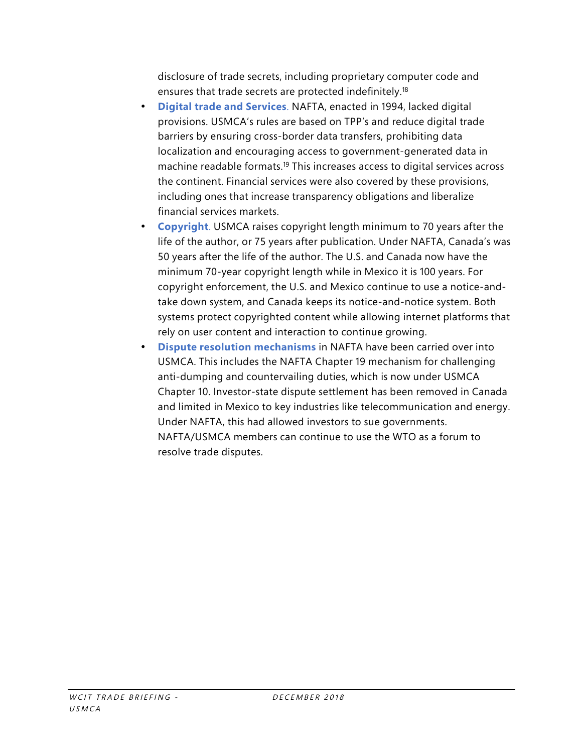disclosure of trade secrets, including proprietary computer code and ensures that trade secrets are protected indefinitely. 18

- **Digital trade and Services**. NAFTA, enacted in 1994, lacked digital provisions. USMCA's rules are based on TPP's and reduce digital trade barriers by ensuring cross-border data transfers, prohibiting data localization and encouraging access to government-generated data in machine readable formats.19 This increases access to digital services across the continent. Financial services were also covered by these provisions, including ones that increase transparency obligations and liberalize financial services markets.
- **Copyright**. USMCA raises copyright length minimum to 70 years after the life of the author, or 75 years after publication. Under NAFTA, Canada's was 50 years after the life of the author. The U.S. and Canada now have the minimum 70-year copyright length while in Mexico it is 100 years. For copyright enforcement, the U.S. and Mexico continue to use a notice-andtake down system, and Canada keeps its notice-and-notice system. Both systems protect copyrighted content while allowing internet platforms that rely on user content and interaction to continue growing.
- **Dispute resolution mechanisms** in NAFTA have been carried over into USMCA. This includes the NAFTA Chapter 19 mechanism for challenging anti-dumping and countervailing duties, which is now under USMCA Chapter 10. Investor-state dispute settlement has been removed in Canada and limited in Mexico to key industries like telecommunication and energy. Under NAFTA, this had allowed investors to sue governments. NAFTA/USMCA members can continue to use the WTO as a forum to resolve trade disputes.